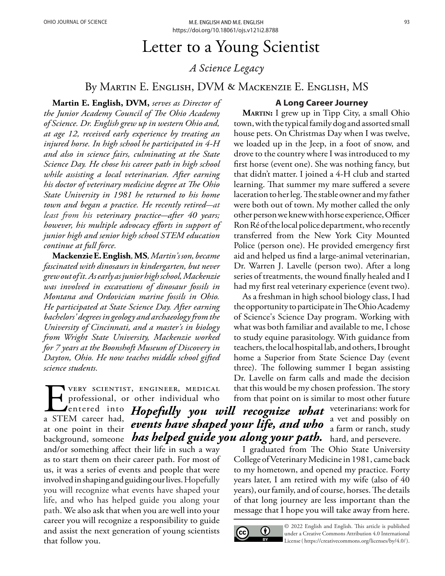# Letter to a Young Scientist

# *A Science Legacy*

## By Martin E. English, DVM & Mackenzie E. English, MS

**Martin E. English, DVM,** *serves as Director of the Junior Academy Council of The Ohio Academy of Science. Dr. English grew up in western Ohio and, at age 12, received early experience by treating an injured horse. In high school he participated in 4-H and also in science fairs, culminating at the State Science Day. He chose his career path in high school while assisting a local veterinarian. After earning his doctor of veterinary medicine degree at The Ohio State University in 1981 he returned to his home town and began a practice. He recently retired-at least from his veterinary practice-after 40 years; however, his multiple advocacy efforts in support of junior high and senior high school STEM education continue at full force.* 

**Mackenzie E. English***,* **MS***, Martin's son, became fascinated with dinosaurs in kindergarten, but never grew out of it. As early as junior high school, Mackenzie was involved in excavations of dinosaur fossils in Montana and Ordovician marine fossils in Ohio. He participated at State Science Day. After earning bachelors' degrees in geology and archaeology from the University of Cincinnati, and a master's in biology from Wright State University, Mackenzie worked for 7 years at the Boonshoft Museum of Discovery in Dayton, Ohio. He now teaches middle school gifted science students.* 

VERY SCIENTIST, ENGINEER, MEDICAL<br>professional, or other individual who<br>a STEM career had, professional, or other individual who entered into Hopefully you will recognize what veterinarians: work for a STEM career had, at one point in their hackground, someone *has helped guide you along your path.* hard, and persevere. and/or something affect their life in such a way as to start them on their career path. For most of us, it was a series of events and people that were involved in shaping and guiding our lives. Hopefully you will recognize what events have shaped your life, and who has helped guide you along your path. We also ask that when you are well into your career you will recognize a responsibility to guide and assist the next generation of young scientists that follow you. *events have shaped your life, and who* 

#### **A Long Career Journey**

**Martin:** I grew up in Tipp City, a small Ohio town, with the typical family dog and assorted small house pets. On Christmas Day when I was twelve, we loaded up in the Jeep, in a foot of snow, and drove to the country where I was introduced to my first horse (event one). She was nothing fancy, but that didn't matter. I joined a 4-H club and started learning. That summer my mare suffered a severe laceration to her leg. The stable owner and my father were both out of town. My mother called the only other person we knew with horse experience, Officer Ron Ré of the local police department, who recently transferred from the New York City Mounted Police (person one). He provided emergency first aid and helped us find a large-animal veterinarian, Dr. Warren J. Lavelle (person two). After a long series of treatments, the wound finally healed and I had my first real veterinary experience (event two).

As a freshman in high school biology class, I had the opportunity to participate in The Ohio Academy of Science's Science Day program. Working with what was both familiar and available to me, I chose to study equine parasitology. With guidance from teachers, the local hospital lab, and others, I brought home a Superior from State Science Day (event three). The following summer I began assisting Dr. Lavelle on farm calls and made the decision that this would be my chosen profession. The story from that point on is similar to most other future

> a vet and possibly on a farm or ranch, study

I graduated from The Ohio State University College of Veterinary Medicine in 1981, came back to my hometown, and opened my practice. Forty years later, I am retired with my wife (also of 40 years), our family, and of course, horses. The details of that long journey are less important than the message that I hope you will take away from here.

 $\mathbf{C}$ (†)

© 2022 English and English. This article is published under a Creative Commons Attribution 4.0 International License ( [https://creativecommons.org/licenses/by/4.0/\).](https://creativecommons.org/licenses/by/4.0/)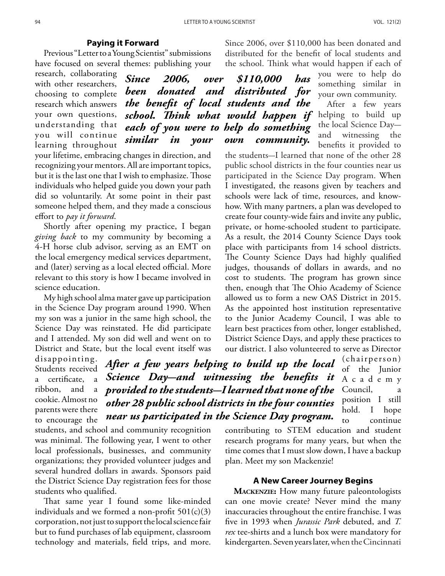#### **Paying it Forward**

Previous "Letter to a Young Scientist" submissions have focused on several themes: publishing your

research, collaborating with other researchers, choosing to complete research which answers your own questions, understanding that you will continue learning throughout

school. Think what would happen if helping to build up *Since 2006, over \$110,000 has been donated and distributed for the benefit of local students and the each of you were to help do something similar in your own community.* 

your lifetime, embracing changes in direction, and recognizing your mentors. All are important topics, but it is the last one that I wish to emphasize. Those individuals who helped guide you down your path did so voluntarily. At some point in their past someone helped them, and they made a conscious effort to *pay it forward*.

Shortly after opening my practice, I began *giving back* to my community by becoming a 4-H horse club advisor, serving as an EMT on the local emergency medical services department, and (later) serving as a local elected official. More relevant to this story is how I became involved in science education.

My high school alma mater gave up participation in the Science Day program around 1990. When my son was a junior in the same high school, the Science Day was reinstated. He did participate and I attended. My son did well and went on to District and State, but the local event itself was

disappointing. Students received a certificate, a ribbon, and a cookie. Almost no parents were there to encourage the

*After a few years helping to build up the local* (chairperson) *Science Day-and witnessing the benefits it provided to the students-I learned that none of the other 28 public school districts in the four counties near us participated in the Science Day program.*

of the Junior A c a d e m y Council, a position I still hold. I hope to continue

contributing to STEM education and student research programs for many years, but when the time comes that I must slow down, I have a backup plan. Meet my son Mackenzie!

### **A New Career Journey Begins**

**Mackenzie:** How many future paleontologists can one movie create? Never mind the many inaccuracies throughout the entire franchise. I was five in 1993 when *Jurassic Park* debuted, and *T. rex* tee-shirts and a lunch box were mandatory for kindergarten. Seven years later, when the Cincinnati

the school. Think what would happen if each of you were to help do something similar in your own community.

Since 2006, over \$110,000 has been donated and distributed for the benefit of local students and

> After a few years the local Science Dayand witnessing the benefits it provided to

the students-I learned that none of the other 28 public school districts in the four counties near us participated in the Science Day program. When I investigated, the reasons given by teachers and schools were lack of time, resources, and knowhow. With many partners, a plan was developed to create four county-wide fairs and invite any public, private, or home-schooled student to participate. As a result, the 2014 County Science Days took place with participants from 14 school districts. The County Science Days had highly qualified judges, thousands of dollars in awards, and no cost to students. The program has grown since then, enough that The Ohio Academy of Science allowed us to form a new OAS District in 2015. As the appointed host institution representative to the Junior Academy Council, I was able to learn best practices from other, longer established, District Science Days, and apply these practices to our district. I also volunteered to serve as Director

students, and school and community recognition was minimal. The following year, I went to other local professionals, businesses, and community organizations; they provided volunteer judges and several hundred dollars in awards. Sponsors paid the District Science Day registration fees for those students who qualified.

That same year I found some like-minded individuals and we formed a non-profit  $501(c)(3)$ corporation, not just to support the local science fair but to fund purchases of lab equipment, classroom technology and materials, field trips, and more.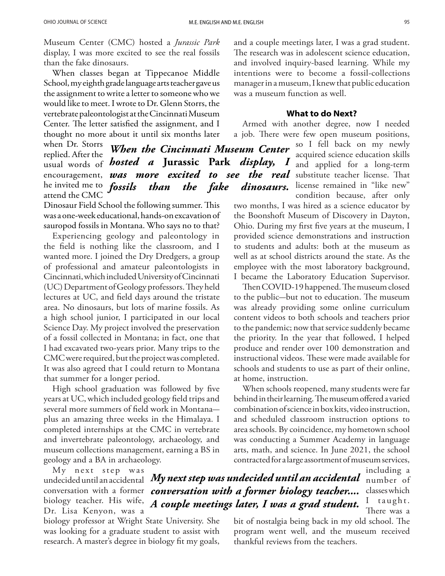Museum Center (CMC) hosted a *Jurassic Park* display, I was more excited to see the real fossils than the fake dinosaurs.

When classes began at Tippecanoe Middle School, my eighth grade language arts teacher gave us the assignment to write a letter to someone who we would like to meet. I wrote to Dr. Glenn Storrs, the vertebrate paleontologist at the Cincinnati Museum Center. The letter satisfied the assignment, and I thought no more about it until six months later

when Dr. Storrs replied. After the usual words of *hosted a* **Jurassic Park** *display, I*  encouragement, *was more excited to see the real* substitute-teacher-license. That he invited me to *fossils* attend the CMC *When the Cincinnati Museum Center fossils than the fake dinosaurs.*

Dinosaur Field School the following summer. This was a one-week educational, hands-on excavation of sauropod fossils in Montana. Who says no to that?

Experiencing geology and paleontology in the field is nothing like the classroom, and I wanted more. I joined the Dry Dredgers, a group of professional and amateur paleontologists in Cincinnati, which included University of Cincinnati (UC) Department of Geology professors. They held lectures at UC, and field days around the tristate area. No dinosaurs, but lots of marine fossils. As a high school junior, I participated in our local Science Day. My project involved the preservation of a fossil collected in Montana; in fact, one that I had excavated two-years prior. Many trips to the CMC were required, but the project was completed. It was also agreed that I could return to Montana that summer for a longer period.

High school graduation was followed by five years at UC, which included geology field trips and several more summers of field work in Montanaplus an amazing three weeks in the Himalaya. I completed internships at the CMC in vertebrate and invertebrate paleontology, archaeology, and museum collections management, earning a BS in geology and a BA in archaeology.

My next step was Dr. Lisa Kenyon, was a

biology professor at Wright State University. She was looking for a graduate student to assist with research. A master's degree in biology fit my goals,

and a couple meetings later, I was a grad student. The research was in adolescent science education, and involved inquiry-based learning. While my intentions were to become a fossil-collections manager in a museum, I knew that public education was a museum function as well.

#### **What to do Next?**

Armed with another degree, now I needed a job. There were few open museum positions,

so I fell back on my newly acquired science education skills and applied for a long-term license remained in "like new" condition because, after only

two months, I was hired as a science educator by the Boonshoft Museum of Discovery in Dayton, Ohio. During my first five years at the museum, I provided science demonstrations and instruction to students and adults: both at the museum as well as at school districts around the state. As the employee with the most laboratory background, I became the Laboratory Education Supervisor.

Then COVID-19 happened. The museum closed to the public-but not to education. The museum was already providing some online curriculum content videos to both schools and teachers prior to the pandemic; now that service suddenly became the priority. In the year that followed, I helped produce and render over 100 demonstration and instructional videos. These were made available for schools and students to use as part of their online, at home, instruction.

When schools reopened, many students were far behind in their learning. The museum offered a varied combination of science in box kits, video instruction, and scheduled classroom instruction options to area schools. By coincidence, my hometown school was conducting a Summer Academy in language arts, math, and science. In June 2021, the school contracted for a large assortment of museum services,

undecided until an accidental *My next step was undecided until an accidental*  $\,$ number  $\,$  of conversation with a former *conversation with a former biology teacher....*  biology teacher. His wife, *A couple meetings later, I was a grad student.* 

including a classes which I taught. There was a

bit of nostalgia being back in my old school. The program went well, and the museum received thankful reviews from the teachers.